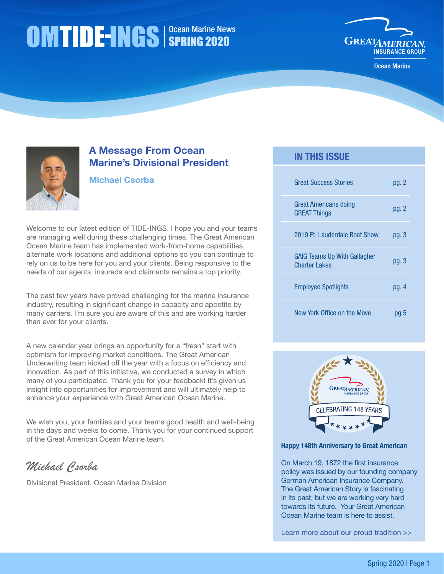# Ocean Marine News SPRING 2020



Ocean Marine



# A Message From Ocean Marine's Divisional President

## Michael Csorba

Welcome to our latest edition of TIDE-INGS. I hope you and your teams are managing well during these challenging times. The Great American Ocean Marine team has implemented work-from-home capabilities, alternate work locations and additional options so you can continue to rely on us to be here for you and your clients. Being responsive to the needs of our agents, insureds and claimants remains a top priority.

The past few years have proved challenging for the marine insurance industry, resulting in significant change in capacity and appetite by many carriers. I'm sure you are aware of this and are working harder than ever for your clients.

A new calendar year brings an opportunity for a "fresh" start with optimism for improving market conditions. The Great American Underwriting team kicked off the year with a focus on efficiency and innovation. As part of this initiative, we conducted a survey in which many of you participated. Thank you for your feedback! It's given us insight into opportunities for improvement and will ultimately help to enhance your experience with Great American Ocean Marine.

We wish you, your families and your teams good health and well-being in the days and weeks to come. Thank you for your continued support of the Great American Ocean Marine team.

*Michael Csorba*

Divisional President, Ocean Marine Division

# IN THIS ISSUE

| <b>Great Success Stories</b>                                | pg. 2 |
|-------------------------------------------------------------|-------|
| Great Americans doing<br><b>GREAT Things</b>                | pg. 2 |
| 2019 Ft. Lauderdale Boat Show                               | pg. 3 |
| <b>GAIG Teams Up With Gallagher</b><br><b>Charter Lakes</b> | pq.3  |
| <b>Employee Spotlights</b>                                  | pg. 4 |
| New York Office on the Move                                 |       |



#### Happy 148th Anniversary to Great American

On March 19, 1872 the first insurance policy was issued by our founding company German American Insurance Company. The Great American Story is fascinating in its past, but we are working very hard towards its future. Your Great American Ocean Marine team is here to assist.

[Learn more about our proud tradition >>](https://www.greatamericaninsurancegroup.com/about-us/great-american-story)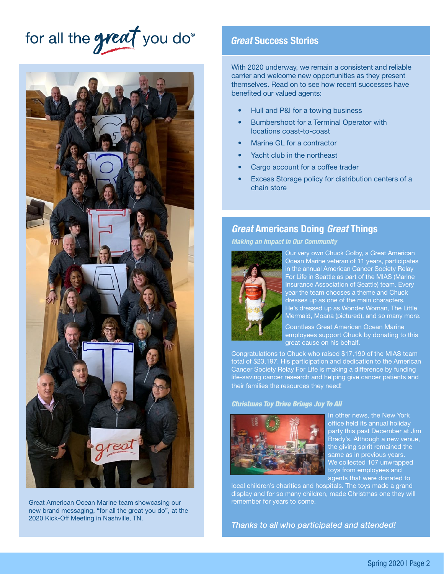# <span id="page-1-0"></span>for all the great you do



Great American Ocean Marine team showcasing our new brand messaging, "for all the great you do", at the 2020 Kick-Off Meeting in Nashville, TN.

## *Great* Success Stories

With 2020 underway, we remain a consistent and reliable carrier and welcome new opportunities as they present themselves. Read on to see how recent successes have benefited our valued agents:

- Hull and P&I for a towing business
- Bumbershoot for a Terminal Operator with locations coast-to-coast
- Marine GL for a contractor
- Yacht club in the northeast
- Cargo account for a coffee trader
- Excess Storage policy for distribution centers of a chain store

## *Great* Americans Doing *Great* Things

*Making an Impact in Our Community*



Our very own Chuck Colby, a Great American Ocean Marine veteran of 11 years, participates in the annual American Cancer Society Relay For Life in Seattle as part of the MIAS (Marine Insurance Association of Seattle) team. Every year the team chooses a theme and Chuck dresses up as one of the main characters. He's dressed up as Wonder Woman, The Little Mermaid, Moana (pictured), and so many more.

Countless Great American Ocean Marine employees support Chuck by donating to this great cause on his behalf.

Congratulations to Chuck who raised \$17,190 of the MIAS team total of \$23,197. His participation and dedication to the American Cancer Society Relay For Life is making a difference by funding life-saving cancer research and helping give cancer patients and their families the resources they need!

#### *Christmas Toy Drive Brings Joy To All*



In other news, the New York office held its annual holiday party this past December at Jim Brady's. Although a new venue, the giving spirit remained the same as in previous years. We collected 107 unwrapped toys from employees and agents that were donated to

local children's charities and hospitals. The toys made a grand display and for so many children, made Christmas one they will remember for years to come.

*Thanks to all who participated and attended!*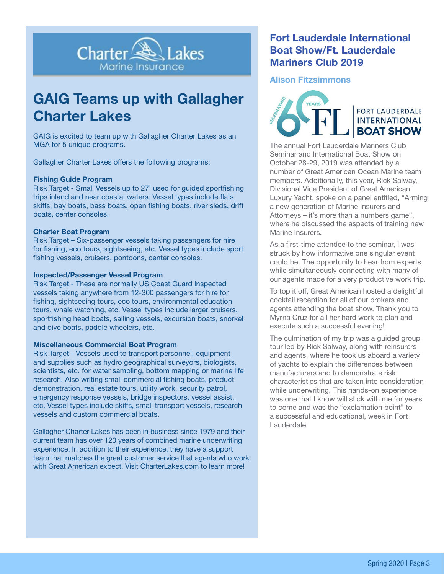<span id="page-2-0"></span>

# GAIG Teams up with Gallagher Charter Lakes

GAIG is excited to team up with Gallagher Charter Lakes as an MGA for 5 unique programs.

Gallagher Charter Lakes offers the following programs:

#### Fishing Guide Program

Risk Target - Small Vessels up to 27' used for guided sportfishing trips inland and near coastal waters. Vessel types include flats skiffs, bay boats, bass boats, open fishing boats, river sleds, drift boats, center consoles.

#### Charter Boat Program

Risk Target – Six-passenger vessels taking passengers for hire for fishing, eco tours, sightseeing, etc. Vessel types include sport fishing vessels, cruisers, pontoons, center consoles.

#### Inspected/Passenger Vessel Program

Risk Target - These are normally US Coast Guard Inspected vessels taking anywhere from 12-300 passengers for hire for fishing, sightseeing tours, eco tours, environmental education tours, whale watching, etc. Vessel types include larger cruisers, sportfishing head boats, sailing vessels, excursion boats, snorkel and dive boats, paddle wheelers, etc.

#### Miscellaneous Commercial Boat Program

Risk Target - Vessels used to transport personnel, equipment and supplies such as hydro geographical surveyors, biologists, scientists, etc. for water sampling, bottom mapping or marine life research. Also writing small commercial fishing boats, product demonstration, real estate tours, utility work, security patrol, emergency response vessels, bridge inspectors, vessel assist, etc. Vessel types include skiffs, small transport vessels, research vessels and custom commercial boats.

Gallagher Charter Lakes has been in business since 1979 and their current team has over 120 years of combined marine underwriting experience. In addition to their experience, they have a support team that matches the great customer service that agents who work with Great American expect. Visit CharterLakes.com to learn more!

# Fort Lauderdale International Boat Show/Ft. Lauderdale Mariners Club 2019

#### Alison Fitzsimmons



**FORT LAUDERDALE INTERNATIONAL BOAT SHOW** 

The annual Fort Lauderdale Mariners Club Seminar and International Boat Show on October 28-29, 2019 was attended by a number of Great American Ocean Marine team members. Additionally, this year, Rick Salway, Divisional Vice President of Great American Luxury Yacht, spoke on a panel entitled, "Arming a new generation of Marine Insurers and Attorneys – it's more than a numbers game", where he discussed the aspects of training new Marine Insurers.

As a first-time attendee to the seminar, I was struck by how informative one singular event could be. The opportunity to hear from experts while simultaneously connecting with many of our agents made for a very productive work trip.

To top it off, Great American hosted a delightful cocktail reception for all of our brokers and agents attending the boat show. Thank you to Myrna Cruz for all her hard work to plan and execute such a successful evening!

The culmination of my trip was a guided group tour led by Rick Salway, along with reinsurers and agents, where he took us aboard a variety of yachts to explain the differences between manufacturers and to demonstrate risk characteristics that are taken into consideration while underwriting. This hands-on experience was one that I know will stick with me for years to come and was the "exclamation point" to a successful and educational, week in Fort Lauderdale!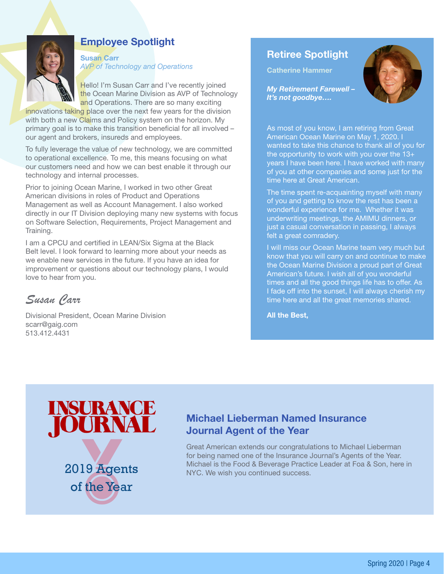<span id="page-3-0"></span>

# Employee Spotlight

Susan Carr *AVP of Technology and Operations*

Hello! I'm Susan Carr and I've recently joined the Ocean Marine Division as AVP of Technology and Operations. There are so many exciting

innovations taking place over the next few years for the division with both a new Claims and Policy system on the horizon. My primary goal is to make this transition beneficial for all involved – our agent and brokers, insureds and employees.

To fully leverage the value of new technology, we are committed to operational excellence. To me, this means focusing on what our customers need and how we can best enable it through our technology and internal processes.

Prior to joining Ocean Marine, I worked in two other Great American divisions in roles of Product and Operations Management as well as Account Management. I also worked directly in our IT Division deploying many new systems with focus on Software Selection, Requirements, Project Management and Training.

I am a CPCU and certified in LEAN/Six Sigma at the Black Belt level. I look forward to learning more about your needs as we enable new services in the future. If you have an idea for improvement or questions about our technology plans, I would love to hear from you.

*Susan Carr*

Divisional President, Ocean Marine Division scarr@gaig.com 513.412.4431

# Retiree Spotlight

Catherine Hammer



*My Retirement Farewell – It's not goodbye….*

As most of you know, I am retiring from Great American Ocean Marine on May 1, 2020. I wanted to take this chance to thank all of you for the opportunity to work with you over the 13+ years I have been here. I have worked with many of you at other companies and some just for the time here at Great American.

The time spent re-acquainting myself with many of you and getting to know the rest has been a wonderful experience for me. Whether it was underwriting meetings, the AMIMU dinners, or just a casual conversation in passing, I always felt a great comradery.

I will miss our Ocean Marine team very much but know that you will carry on and continue to make the Ocean Marine Division a proud part of Great American's future. I wish all of you wonderful times and all the good things life has to offer. As I fade off into the sunset, I will always cherish my time here and all the great memories shared.

All the Best,



of the Year

# Michael Lieberman Named Insurance Journal Agent of the Year

Great American extends our congratulations to Michael Lieberman for being named one of the Insurance Journal's Agents of the Year. **2019 Agents** Michael is the Food & Beverage Practice Leader at Foa & Son, here in NYC. We wish you continued success.